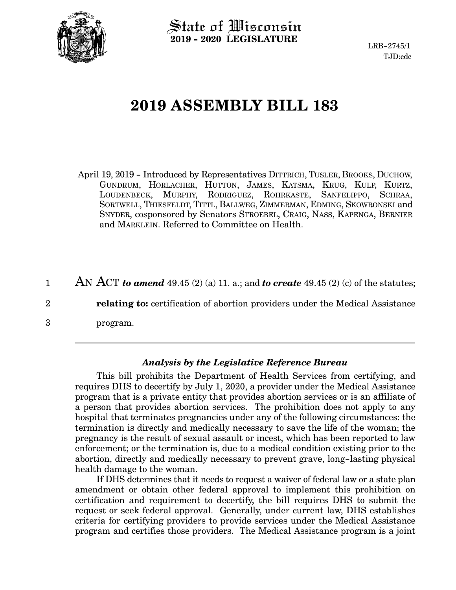

State of Wisconsin **2019 - 2020 LEGISLATURE**

LRB-2745/1 TJD:cdc

# **2019 ASSEMBLY BILL 183**

April 19, 2019 - Introduced by Representatives DITTRICH, TUSLER, BROOKS, DUCHOW, GUNDRUM, HORLACHER, HUTTON, JAMES, KATSMA, KRUG, KULP, KURTZ, LOUDENBECK, MURPHY, RODRIGUEZ, ROHRKASTE, SANFELIPPO, SCHRAA, SORTWELL, THIESFELDT, TITTL, BALLWEG, ZIMMERMAN, EDMING, SKOWRONSKI and SNYDER, cosponsored by Senators STROEBEL, CRAIG, NASS, KAPENGA, BERNIER and MARKLEIN. Referred to Committee on Health.

AN ACT *to amend* 49.45 (2) (a) 11. a.; and *to create* 49.45 (2) (c) of the statutes; 1

**relating to:** certification of abortion providers under the Medical Assistance

program.

2

3

#### *Analysis by the Legislative Reference Bureau*

This bill prohibits the Department of Health Services from certifying, and requires DHS to decertify by July 1, 2020, a provider under the Medical Assistance program that is a private entity that provides abortion services or is an affiliate of a person that provides abortion services. The prohibition does not apply to any hospital that terminates pregnancies under any of the following circumstances: the termination is directly and medically necessary to save the life of the woman; the pregnancy is the result of sexual assault or incest, which has been reported to law enforcement; or the termination is, due to a medical condition existing prior to the abortion, directly and medically necessary to prevent grave, long-lasting physical health damage to the woman.

If DHS determines that it needs to request a waiver of federal law or a state plan amendment or obtain other federal approval to implement this prohibition on certification and requirement to decertify, the bill requires DHS to submit the request or seek federal approval. Generally, under current law, DHS establishes criteria for certifying providers to provide services under the Medical Assistance program and certifies those providers. The Medical Assistance program is a joint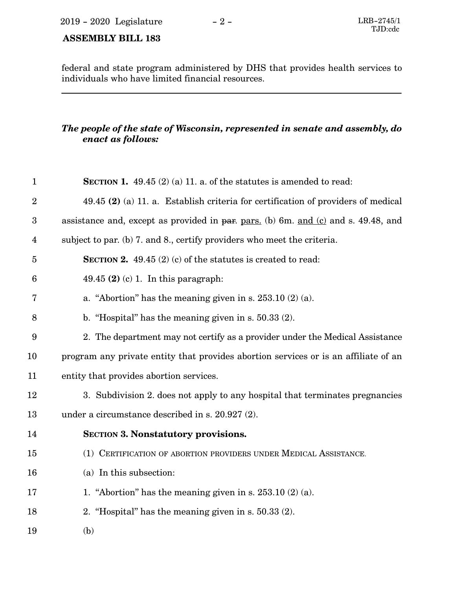### **ASSEMBLY BILL 183**

federal and state program administered by DHS that provides health services to individuals who have limited financial resources.

#### *The people of the state of Wisconsin, represented in senate and assembly, do enact as follows:*

| $\mathbf{1}$     | <b>SECTION 1.</b> 49.45 (2) (a) 11. a. of the statutes is amended to read:          |
|------------------|-------------------------------------------------------------------------------------|
| $\overline{2}$   | $49.45$ (2) (a) 11. a. Establish criteria for certification of providers of medical |
| $\boldsymbol{3}$ | assistance and, except as provided in par. pars. (b) 6m. and (c) and s. 49.48, and  |
| $\overline{4}$   | subject to par. (b) 7. and 8., certify providers who meet the criteria.             |
| $\bf 5$          | <b>SECTION 2.</b> 49.45 (2) (c) of the statutes is created to read:                 |
| $6\phantom{1}6$  | $49.45$ (2) (c) 1. In this paragraph:                                               |
| 7                | a. "Abortion" has the meaning given in s. $253.10(2)(a)$ .                          |
| 8                | b. "Hospital" has the meaning given in s. $50.33(2)$ .                              |
| $\boldsymbol{9}$ | 2. The department may not certify as a provider under the Medical Assistance        |
| 10               | program any private entity that provides abortion services or is an affiliate of an |
| 11               | entity that provides abortion services.                                             |
| 12               | 3. Subdivision 2. does not apply to any hospital that terminates pregnancies        |
| 13               | under a circumstance described in s. 20.927 (2).                                    |
| 14               | <b>SECTION 3. Nonstatutory provisions.</b>                                          |
| 15               | (1) CERTIFICATION OF ABORTION PROVIDERS UNDER MEDICAL ASSISTANCE.                   |
| 16               | (a) In this subsection:                                                             |
| 17               | 1. "Abortion" has the meaning given in s. $253.10(2)(a)$ .                          |
| 18               | 2. "Hospital" has the meaning given in s. $50.33(2)$ .                              |
| 19               | (b)                                                                                 |